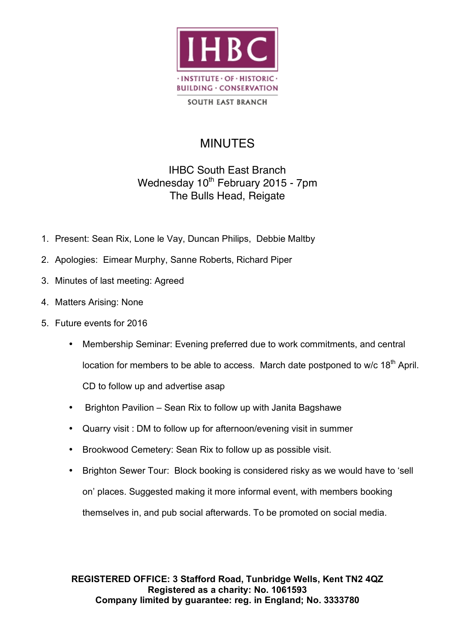

**SOUTH EAST BRANCH** 

## MINUTES

## IHBC South East Branch Wednesday 10<sup>th</sup> February 2015 - 7pm The Bulls Head, Reigate

- 1. Present: Sean Rix, Lone le Vay, Duncan Philips, Debbie Maltby
- 2. Apologies: Eimear Murphy, Sanne Roberts, Richard Piper
- 3. Minutes of last meeting: Agreed
- 4. Matters Arising: None
- 5. Future events for 2016
	- Membership Seminar: Evening preferred due to work commitments, and central location for members to be able to access. March date postponed to  $w/c$  18<sup>th</sup> April. CD to follow up and advertise asap
	- Brighton Pavilion Sean Rix to follow up with Janita Bagshawe
	- Quarry visit : DM to follow up for afternoon/evening visit in summer
	- Brookwood Cemetery: Sean Rix to follow up as possible visit.
	- Brighton Sewer Tour: Block booking is considered risky as we would have to 'sell on' places. Suggested making it more informal event, with members booking themselves in, and pub social afterwards. To be promoted on social media.

**REGISTERED OFFICE: 3 Stafford Road, Tunbridge Wells, Kent TN2 4QZ Registered as a charity: No. 1061593 Company limited by guarantee: reg. in England; No. 3333780**